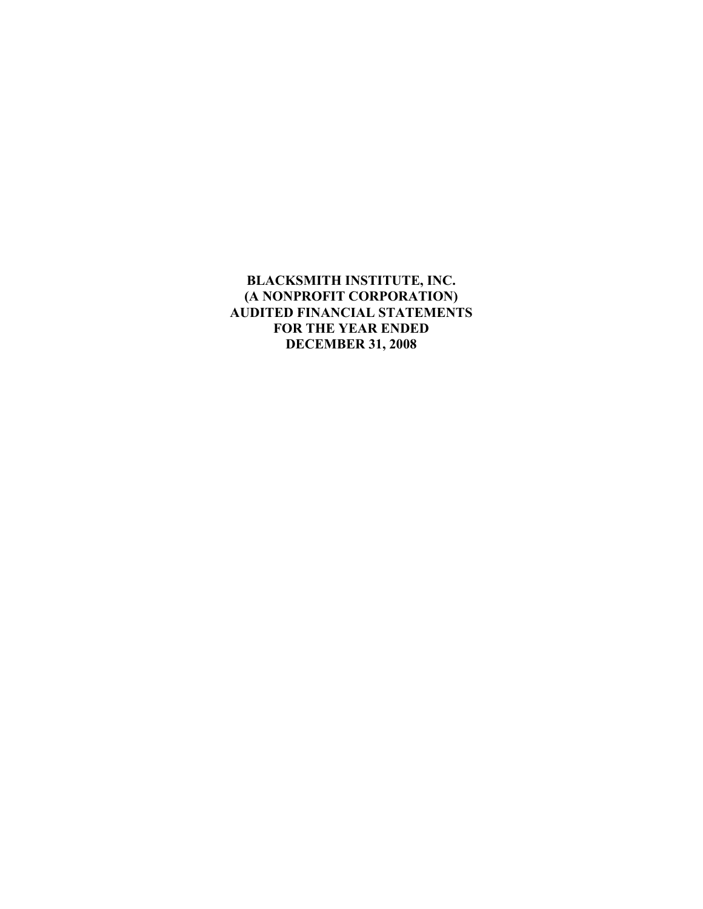## **BLACKSMITH INSTITUTE, INC. (A NONPROFIT CORPORATION) AUDITED FINANCIAL STATEMENTS FOR THE YEAR ENDED DECEMBER 31, 2008**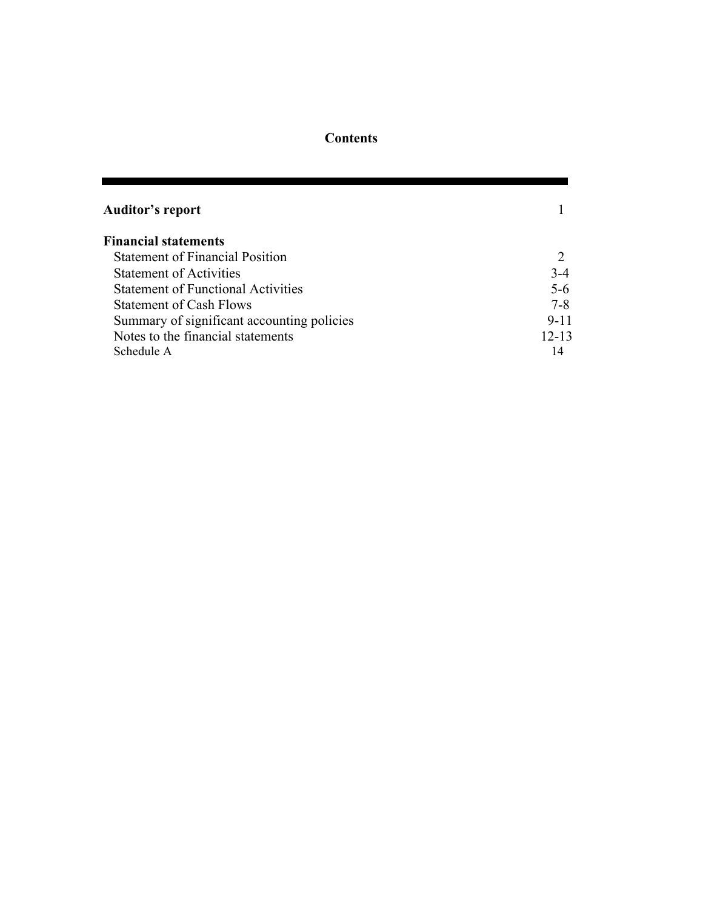# **Contents**

| <b>Auditor's report</b>                    |           |
|--------------------------------------------|-----------|
| <b>Financial statements</b>                |           |
| <b>Statement of Financial Position</b>     |           |
| <b>Statement of Activities</b>             | $3-4$     |
| <b>Statement of Functional Activities</b>  | $5 - 6$   |
| <b>Statement of Cash Flows</b>             | $7 - 8$   |
| Summary of significant accounting policies | $9 - 11$  |
| Notes to the financial statements          | $12 - 13$ |
| Schedule A                                 | 14        |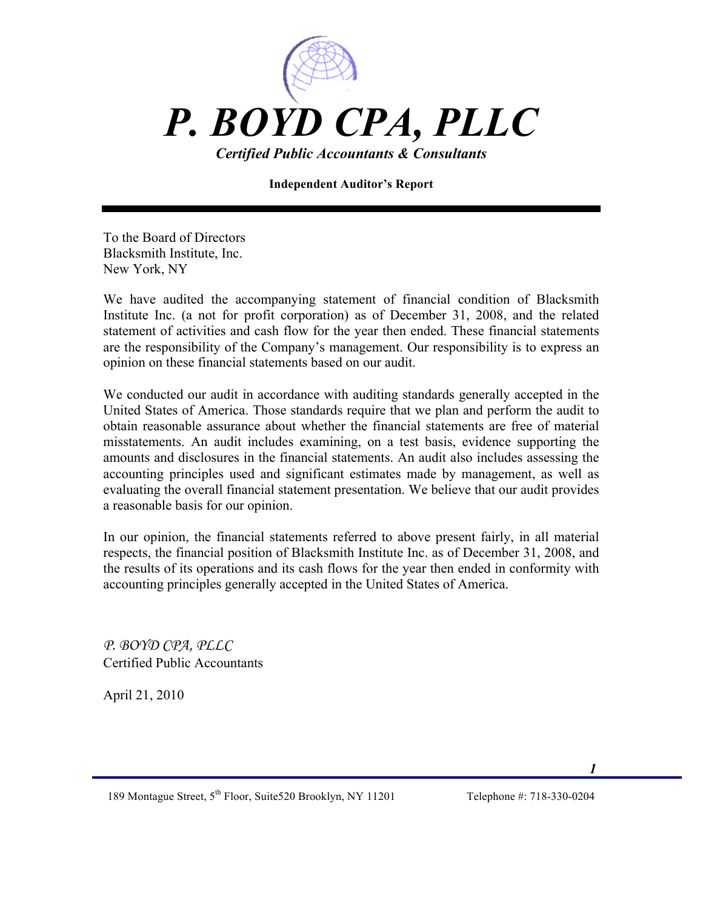

**Independent Auditor's Report**

To the Board of Directors Blacksmith Institute, Inc. New York, NY

We have audited the accompanying statement of financial condition of Blacksmith Institute Inc. (a not for profit corporation) as of December 31, 2008, and the related statement of activities and cash flow for the year then ended. These financial statements are the responsibility of the Company's management. Our responsibility is to express an opinion on these financial statements based on our audit.

We conducted our audit in accordance with auditing standards generally accepted in the United States of America. Those standards require that we plan and perform the audit to obtain reasonable assurance about whether the financial statements are free of material misstatements. An audit includes examining, on a test basis, evidence supporting the amounts and disclosures in the financial statements. An audit also includes assessing the accounting principles used and significant estimates made by management, as well as evaluating the overall financial statement presentation. We believe that our audit provides a reasonable basis for our opinion.

In our opinion, the financial statements referred to above present fairly, in all material respects, the financial position of Blacksmith Institute Inc. as of December 31, 2008, and the results of its operations and its cash flows for the year then ended in conformity with accounting principles generally accepted in the United States of America.

*P. BOYD CPA, PLLC* Certified Public Accountants

April 21, 2010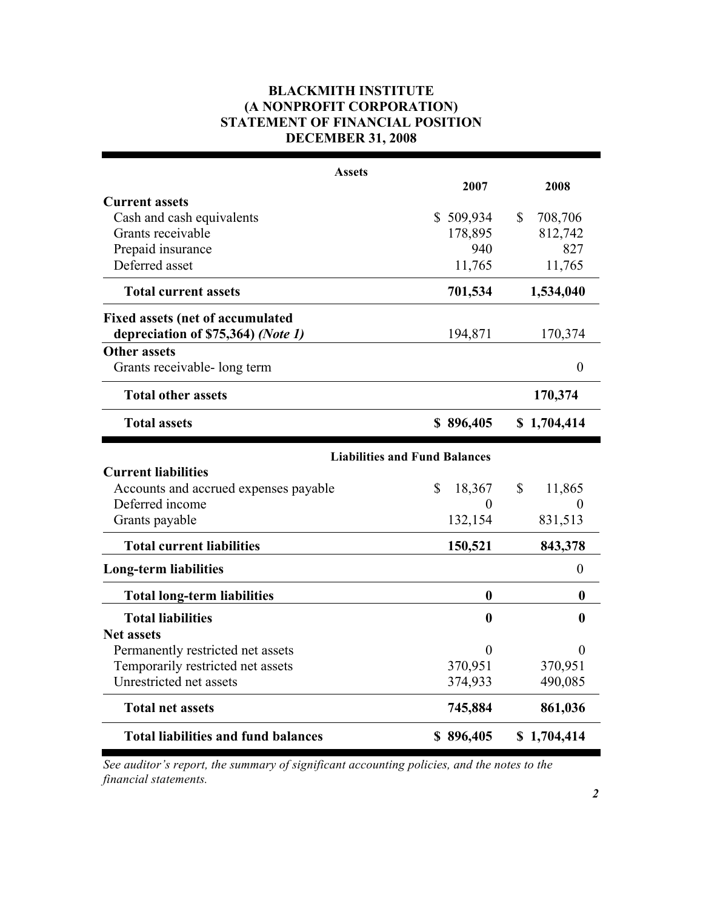## **BLACKMITH INSTITUTE (A NONPROFIT CORPORATION) STATEMENT OF FINANCIAL POSITION DECEMBER 31, 2008**

| <b>Assets</b>                              |                                      |                  |
|--------------------------------------------|--------------------------------------|------------------|
|                                            | 2007                                 | 2008             |
| <b>Current assets</b>                      |                                      |                  |
| Cash and cash equivalents                  | \$509,934                            | \$<br>708,706    |
| Grants receivable                          | 178,895                              | 812,742          |
| Prepaid insurance                          | 940                                  | 827              |
| Deferred asset                             | 11,765                               | 11,765           |
| <b>Total current assets</b>                | 701,534                              | 1,534,040        |
| <b>Fixed assets (net of accumulated</b>    |                                      |                  |
| depreciation of \$75,364) (Note 1)         | 194,871                              | 170,374          |
| <b>Other assets</b>                        |                                      |                  |
| Grants receivable- long term               |                                      | $\boldsymbol{0}$ |
| <b>Total other assets</b>                  |                                      | 170,374          |
| <b>Total assets</b>                        | \$896,405                            | \$1,704,414      |
|                                            | <b>Liabilities and Fund Balances</b> |                  |
| <b>Current liabilities</b>                 |                                      |                  |
| Accounts and accrued expenses payable      | \$<br>18,367                         | 11,865<br>\$     |
| Deferred income                            | 0                                    | $\theta$         |
| Grants payable                             | 132,154                              | 831,513          |
| <b>Total current liabilities</b>           | 150,521                              | 843,378          |
| <b>Long-term liabilities</b>               |                                      | $\boldsymbol{0}$ |
| <b>Total long-term liabilities</b>         | $\boldsymbol{0}$                     | 0                |
| <b>Total liabilities</b>                   | $\bf{0}$                             | 0                |
| <b>Net assets</b>                          |                                      |                  |
| Permanently restricted net assets          | 0                                    | $\Omega$         |
| Temporarily restricted net assets          | 370,951                              | 370,951          |
| Unrestricted net assets                    | 374,933                              | 490,085          |
| <b>Total net assets</b>                    | 745,884                              | 861,036          |
| <b>Total liabilities and fund balances</b> | \$896,405                            | \$1,704,414      |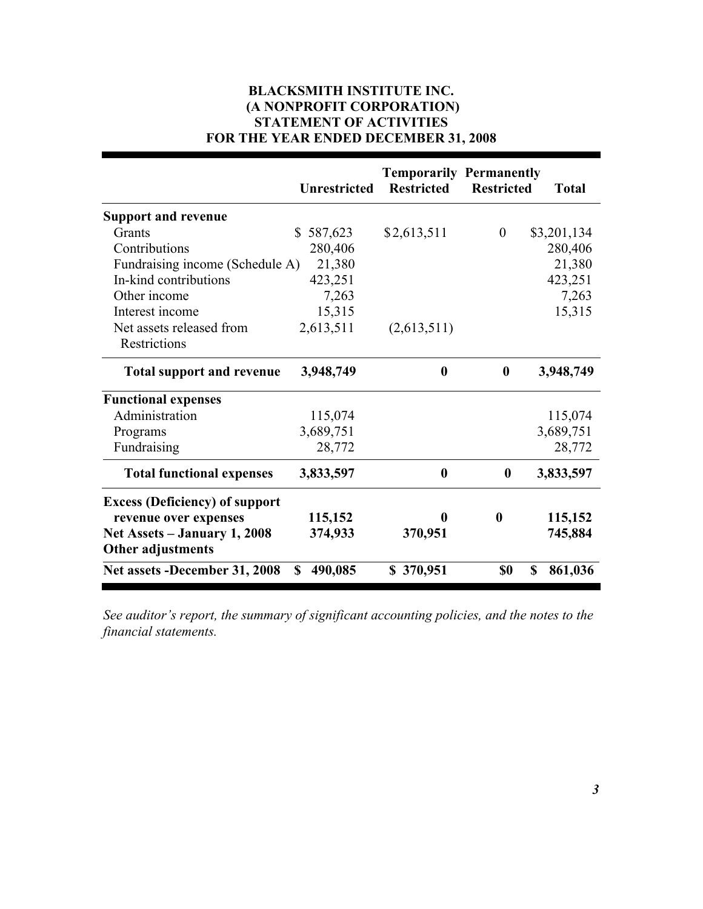## **BLACKSMITH INSTITUTE INC. (A NONPROFIT CORPORATION) STATEMENT OF ACTIVITIES FOR THE YEAR ENDED DECEMBER 31, 2008**

|                                       | <b>Unrestricted</b>       | <b>Temporarily Permanently</b><br><b>Restricted</b> | <b>Restricted</b> | <b>Total</b>  |
|---------------------------------------|---------------------------|-----------------------------------------------------|-------------------|---------------|
| <b>Support and revenue</b>            |                           |                                                     |                   |               |
| Grants                                | $\mathbb{S}^-$<br>587,623 | \$2,613,511                                         | $\boldsymbol{0}$  | \$3,201,134   |
| Contributions                         | 280,406                   |                                                     |                   | 280,406       |
| Fundraising income (Schedule A)       | 21,380                    |                                                     |                   | 21,380        |
| In-kind contributions                 | 423,251                   |                                                     |                   | 423,251       |
| Other income                          | 7,263                     |                                                     |                   | 7,263         |
| Interest income                       | 15,315                    |                                                     |                   | 15,315        |
| Net assets released from              | 2,613,511                 | (2,613,511)                                         |                   |               |
| Restrictions                          |                           |                                                     |                   |               |
| <b>Total support and revenue</b>      | 3,948,749                 | $\boldsymbol{0}$                                    | $\mathbf{0}$      | 3,948,749     |
| <b>Functional expenses</b>            |                           |                                                     |                   |               |
| Administration                        | 115,074                   |                                                     |                   | 115,074       |
| Programs                              | 3,689,751                 |                                                     |                   | 3,689,751     |
| Fundraising                           | 28,772                    |                                                     |                   | 28,772        |
| <b>Total functional expenses</b>      | 3,833,597                 | $\boldsymbol{0}$                                    | $\bf{0}$          | 3,833,597     |
| <b>Excess (Deficiency) of support</b> |                           |                                                     |                   |               |
| revenue over expenses                 | 115,152                   | 0                                                   | $\bf{0}$          | 115,152       |
| Net Assets – January 1, 2008          | 374,933                   | 370,951                                             |                   | 745,884       |
| Other adjustments                     |                           |                                                     |                   |               |
| Net assets -December 31, 2008         | 490,085<br><sup>\$</sup>  | \$370,951                                           | \$0               | \$<br>861,036 |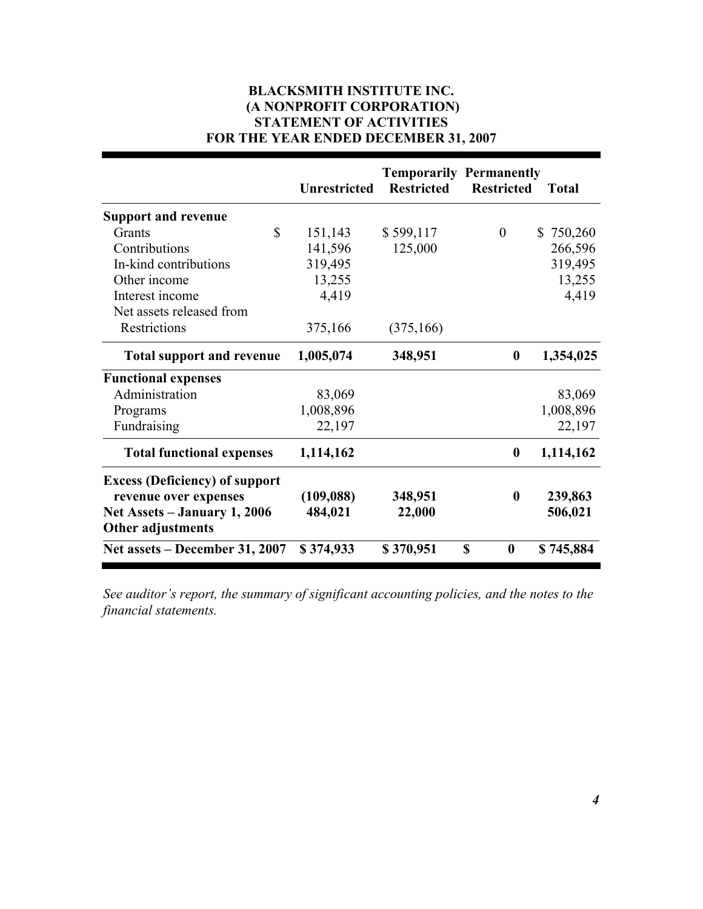## **BLACKSMITH INSTITUTE INC. (A NONPROFIT CORPORATION) STATEMENT OF ACTIVITIES FOR THE YEAR ENDED DECEMBER 31, 2007**

|                                       | <b>Unrestricted</b> | <b>Temporarily Permanently</b><br><b>Restricted</b> | <b>Restricted</b>     | <b>Total</b>  |
|---------------------------------------|---------------------|-----------------------------------------------------|-----------------------|---------------|
| <b>Support and revenue</b>            |                     |                                                     |                       |               |
| \$<br>Grants                          | 151,143             | \$599,117                                           | $\theta$              | \$<br>750,260 |
| Contributions                         | 141,596             | 125,000                                             |                       | 266,596       |
| In-kind contributions                 | 319,495             |                                                     |                       | 319,495       |
| Other income                          | 13,255              |                                                     |                       | 13,255        |
| Interest income                       | 4,419               |                                                     |                       | 4,419         |
| Net assets released from              |                     |                                                     |                       |               |
| Restrictions                          | 375,166             | (375, 166)                                          |                       |               |
| <b>Total support and revenue</b>      | 1,005,074           | 348,951                                             | $\boldsymbol{0}$      | 1,354,025     |
| <b>Functional expenses</b>            |                     |                                                     |                       |               |
| Administration                        | 83,069              |                                                     |                       | 83,069        |
| Programs                              | 1,008,896           |                                                     |                       | 1,008,896     |
| Fundraising                           | 22,197              |                                                     |                       | 22,197        |
| <b>Total functional expenses</b>      | 1,114,162           |                                                     | $\boldsymbol{0}$      | 1,114,162     |
| <b>Excess (Deficiency) of support</b> |                     |                                                     |                       |               |
| revenue over expenses                 | (109, 088)          | 348,951                                             | $\boldsymbol{0}$      | 239,863       |
| Net Assets – January 1, 2006          | 484,021             | 22,000                                              |                       | 506,021       |
| Other adjustments                     |                     |                                                     |                       |               |
| Net assets – December 31, 2007        | \$374,933           | \$370,951                                           | S<br>$\boldsymbol{0}$ | \$745,884     |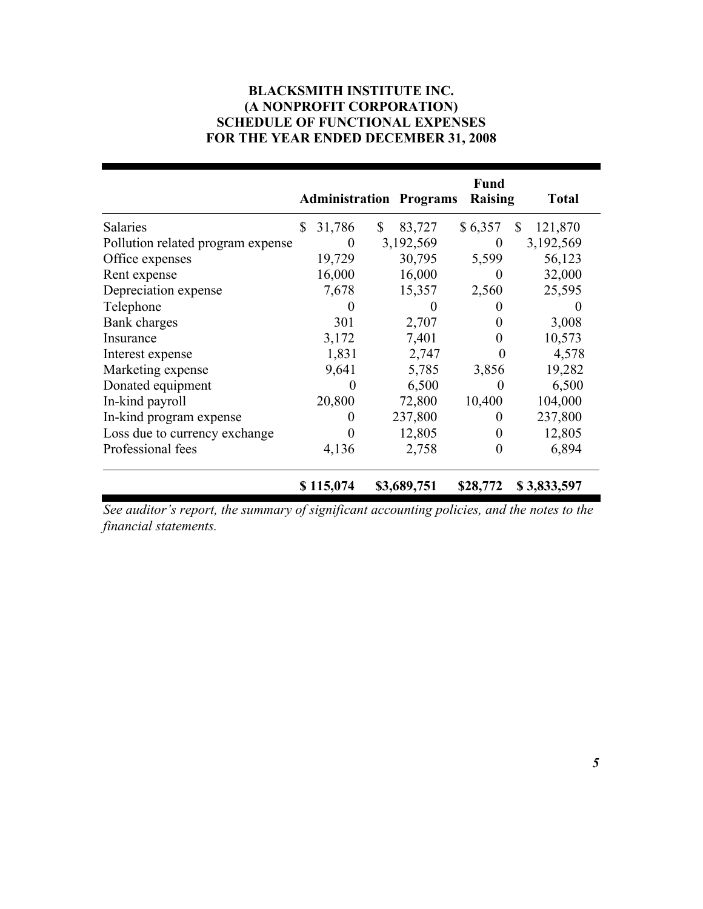## **BLACKSMITH INSTITUTE INC. (A NONPROFIT CORPORATION) SCHEDULE OF FUNCTIONAL EXPENSES FOR THE YEAR ENDED DECEMBER 31, 2008**

|                                   |              | <b>Administration Programs</b> | Fund<br>Raising | <b>Total</b>  |
|-----------------------------------|--------------|--------------------------------|-----------------|---------------|
| <b>Salaries</b>                   | \$<br>31,786 | \$<br>83,727                   | \$6,357         | \$<br>121,870 |
| Pollution related program expense | $\theta$     | 3,192,569                      | $\theta$        | 3,192,569     |
| Office expenses                   | 19,729       | 30,795                         | 5,599           | 56,123        |
| Rent expense                      | 16,000       | 16,000                         | $\Omega$        | 32,000        |
| Depreciation expense              | 7,678        | 15,357                         | 2,560           | 25,595        |
| Telephone                         |              | $\theta$                       |                 |               |
| Bank charges                      | 301          | 2,707                          | $\theta$        | 3,008         |
| Insurance                         | 3,172        | 7,401                          |                 | 10,573        |
| Interest expense                  | 1,831        | 2,747                          | 0               | 4,578         |
| Marketing expense                 | 9,641        | 5,785                          | 3,856           | 19,282        |
| Donated equipment                 | $\theta$     | 6,500                          | 0               | 6,500         |
| In-kind payroll                   | 20,800       | 72,800                         | 10,400          | 104,000       |
| In-kind program expense           |              | 237,800                        | $\theta$        | 237,800       |
| Loss due to currency exchange     |              | 12,805                         | $\theta$        | 12,805        |
| Professional fees                 | 4,136        | 2,758                          | $\theta$        | 6,894         |
|                                   | \$115,074    | \$3,689,751                    | \$28,772        | \$3,833,597   |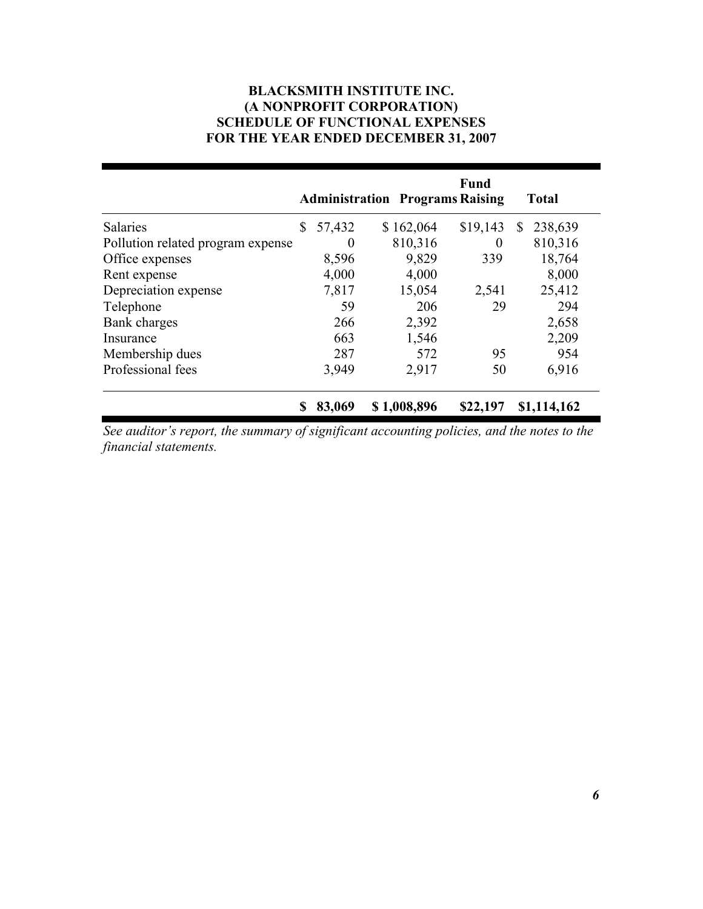## **BLACKSMITH INSTITUTE INC. (A NONPROFIT CORPORATION) SCHEDULE OF FUNCTIONAL EXPENSES FOR THE YEAR ENDED DECEMBER 31, 2007**

|                                   |              |             | <b>Fund</b><br><b>Administration Programs Raising</b> | <b>Total</b> |
|-----------------------------------|--------------|-------------|-------------------------------------------------------|--------------|
| <b>Salaries</b>                   | \$<br>57,432 | \$162,064   | \$19,143                                              | 238,639<br>S |
| Pollution related program expense | $\theta$     | 810,316     | $\theta$                                              | 810,316      |
| Office expenses                   | 8,596        | 9,829       | 339                                                   | 18,764       |
| Rent expense                      | 4,000        | 4,000       |                                                       | 8,000        |
| Depreciation expense              | 7,817        | 15,054      | 2,541                                                 | 25,412       |
| Telephone                         | 59           | 206         | 29                                                    | 294          |
| Bank charges                      | 266          | 2,392       |                                                       | 2,658        |
| Insurance                         | 663          | 1,546       |                                                       | 2,209        |
| Membership dues                   | 287          | 572         | 95                                                    | 954          |
| Professional fees                 | 3,949        | 2,917       | 50                                                    | 6,916        |
|                                   | 83,069       | \$1,008,896 | \$22,197                                              | \$1,114,162  |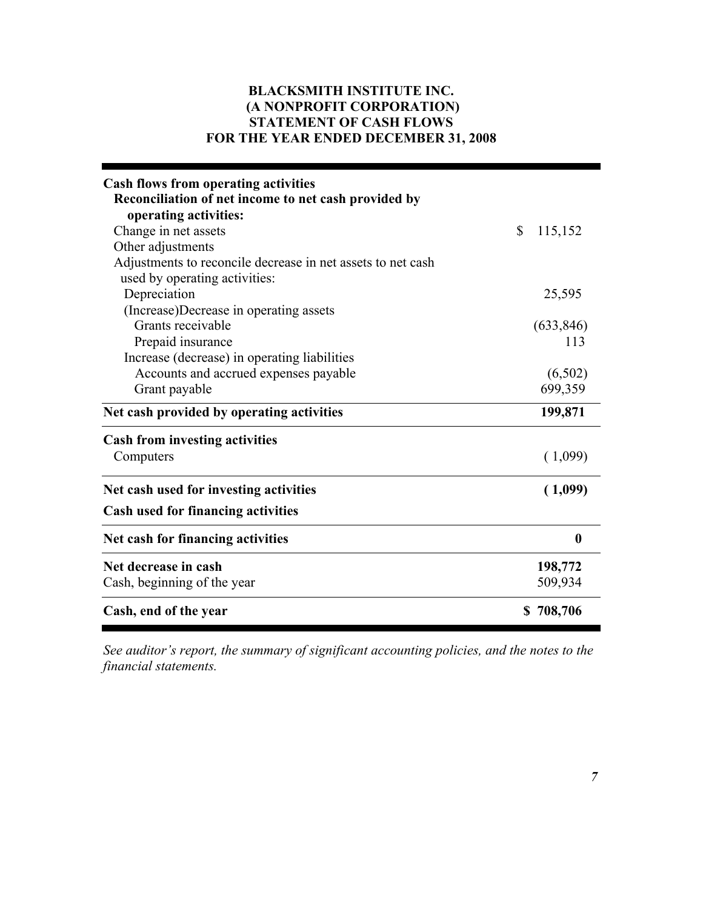## **BLACKSMITH INSTITUTE INC. (A NONPROFIT CORPORATION) STATEMENT OF CASH FLOWS FOR THE YEAR ENDED DECEMBER 31, 2008**

| <b>Cash flows from operating activities</b><br>Reconciliation of net income to net cash provided by<br>operating activities: |                  |
|------------------------------------------------------------------------------------------------------------------------------|------------------|
| Change in net assets                                                                                                         | \$<br>115,152    |
| Other adjustments                                                                                                            |                  |
| Adjustments to reconcile decrease in net assets to net cash                                                                  |                  |
| used by operating activities:                                                                                                |                  |
| Depreciation<br>(Increase)Decrease in operating assets                                                                       | 25,595           |
| Grants receivable                                                                                                            | (633, 846)       |
| Prepaid insurance                                                                                                            | 113              |
| Increase (decrease) in operating liabilities                                                                                 |                  |
| Accounts and accrued expenses payable                                                                                        | (6,502)          |
| Grant payable                                                                                                                | 699,359          |
| Net cash provided by operating activities                                                                                    | 199,871          |
| <b>Cash from investing activities</b>                                                                                        |                  |
| Computers                                                                                                                    | (1,099)          |
| Net cash used for investing activities                                                                                       | (1,099)          |
| Cash used for financing activities                                                                                           |                  |
| Net cash for financing activities                                                                                            | $\boldsymbol{0}$ |
| Net decrease in cash                                                                                                         | 198,772          |
| Cash, beginning of the year                                                                                                  | 509,934          |
| Cash, end of the year                                                                                                        | \$708,706        |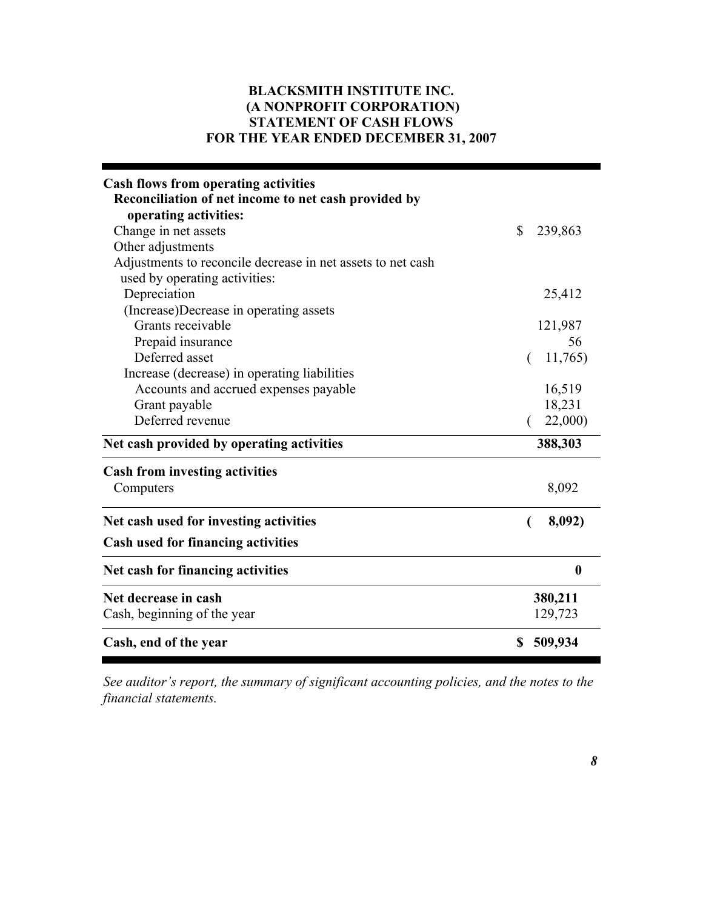## **BLACKSMITH INSTITUTE INC. (A NONPROFIT CORPORATION) STATEMENT OF CASH FLOWS FOR THE YEAR ENDED DECEMBER 31, 2007**

| <b>Cash flows from operating activities</b><br>Reconciliation of net income to net cash provided by<br>operating activities: |               |
|------------------------------------------------------------------------------------------------------------------------------|---------------|
| Change in net assets                                                                                                         | \$<br>239,863 |
| Other adjustments                                                                                                            |               |
| Adjustments to reconcile decrease in net assets to net cash                                                                  |               |
| used by operating activities:                                                                                                |               |
| Depreciation                                                                                                                 | 25,412        |
| (Increase)Decrease in operating assets                                                                                       |               |
| Grants receivable                                                                                                            | 121,987       |
| Prepaid insurance                                                                                                            | 56            |
| Deferred asset                                                                                                               | 11,765)       |
| Increase (decrease) in operating liabilities                                                                                 |               |
| Accounts and accrued expenses payable                                                                                        | 16,519        |
| Grant payable                                                                                                                | 18,231        |
| Deferred revenue                                                                                                             | 22,000)       |
| Net cash provided by operating activities                                                                                    | 388,303       |
| <b>Cash from investing activities</b>                                                                                        |               |
| Computers                                                                                                                    | 8,092         |
| Net cash used for investing activities                                                                                       | 8,092)        |
| <b>Cash used for financing activities</b>                                                                                    |               |
| Net cash for financing activities                                                                                            | $\bf{0}$      |
| Net decrease in cash                                                                                                         | 380,211       |
| Cash, beginning of the year                                                                                                  | 129,723       |
| Cash, end of the year                                                                                                        | \$<br>509,934 |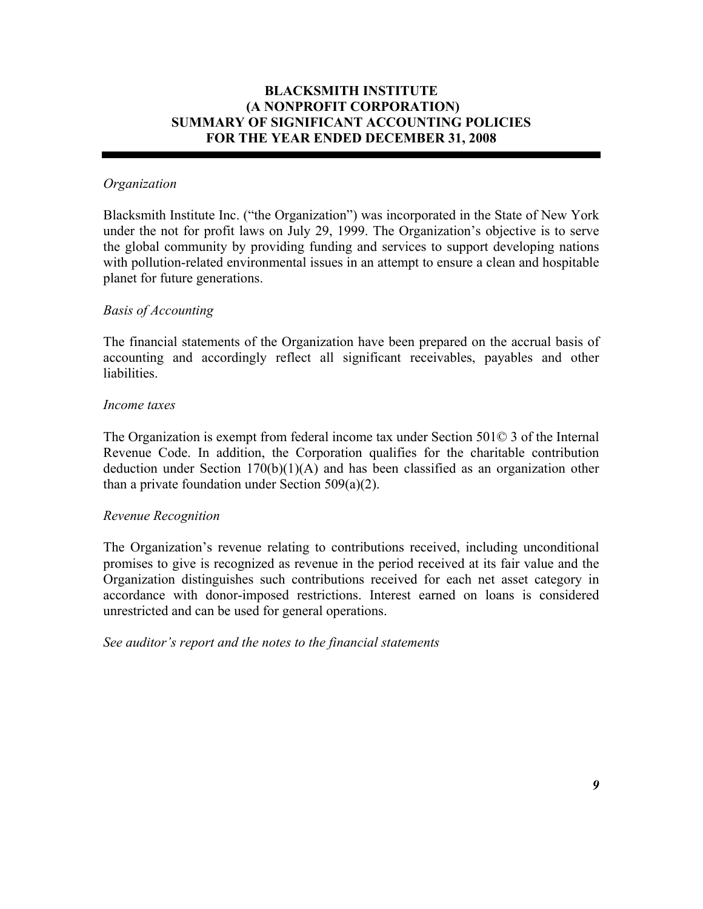### **BLACKSMITH INSTITUTE (A NONPROFIT CORPORATION) SUMMARY OF SIGNIFICANT ACCOUNTING POLICIES FOR THE YEAR ENDED DECEMBER 31, 2008**

### *Organization*

Blacksmith Institute Inc. ("the Organization") was incorporated in the State of New York under the not for profit laws on July 29, 1999. The Organization's objective is to serve the global community by providing funding and services to support developing nations with pollution-related environmental issues in an attempt to ensure a clean and hospitable planet for future generations.

### *Basis of Accounting*

The financial statements of the Organization have been prepared on the accrual basis of accounting and accordingly reflect all significant receivables, payables and other **liabilities** 

#### *Income taxes*

The Organization is exempt from federal income tax under Section 501© 3 of the Internal Revenue Code. In addition, the Corporation qualifies for the charitable contribution deduction under Section 170(b)(1)(A) and has been classified as an organization other than a private foundation under Section 509(a)(2).

#### *Revenue Recognition*

The Organization's revenue relating to contributions received, including unconditional promises to give is recognized as revenue in the period received at its fair value and the Organization distinguishes such contributions received for each net asset category in accordance with donor-imposed restrictions. Interest earned on loans is considered unrestricted and can be used for general operations.

*See auditor's report and the notes to the financial statements*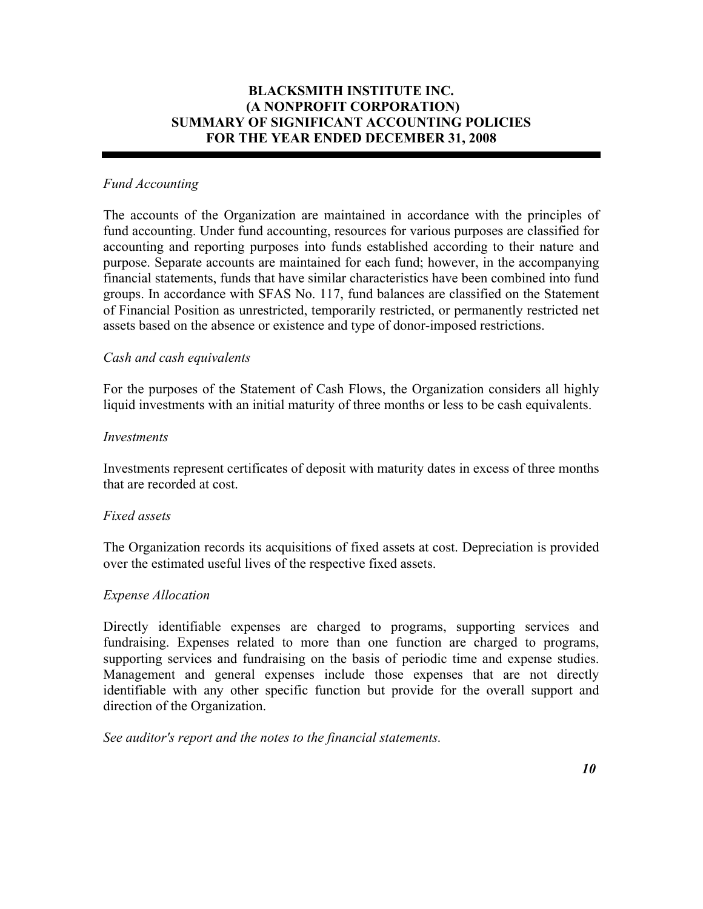### **BLACKSMITH INSTITUTE INC. (A NONPROFIT CORPORATION) SUMMARY OF SIGNIFICANT ACCOUNTING POLICIES FOR THE YEAR ENDED DECEMBER 31, 2008**

### *Fund Accounting*

The accounts of the Organization are maintained in accordance with the principles of fund accounting. Under fund accounting, resources for various purposes are classified for accounting and reporting purposes into funds established according to their nature and purpose. Separate accounts are maintained for each fund; however, in the accompanying financial statements, funds that have similar characteristics have been combined into fund groups. In accordance with SFAS No. 117, fund balances are classified on the Statement of Financial Position as unrestricted, temporarily restricted, or permanently restricted net assets based on the absence or existence and type of donor-imposed restrictions.

#### *Cash and cash equivalents*

For the purposes of the Statement of Cash Flows, the Organization considers all highly liquid investments with an initial maturity of three months or less to be cash equivalents.

#### *Investments*

Investments represent certificates of deposit with maturity dates in excess of three months that are recorded at cost.

#### *Fixed assets*

The Organization records its acquisitions of fixed assets at cost. Depreciation is provided over the estimated useful lives of the respective fixed assets.

#### *Expense Allocation*

Directly identifiable expenses are charged to programs, supporting services and fundraising. Expenses related to more than one function are charged to programs, supporting services and fundraising on the basis of periodic time and expense studies. Management and general expenses include those expenses that are not directly identifiable with any other specific function but provide for the overall support and direction of the Organization.

*See auditor's report and the notes to the financial statements.*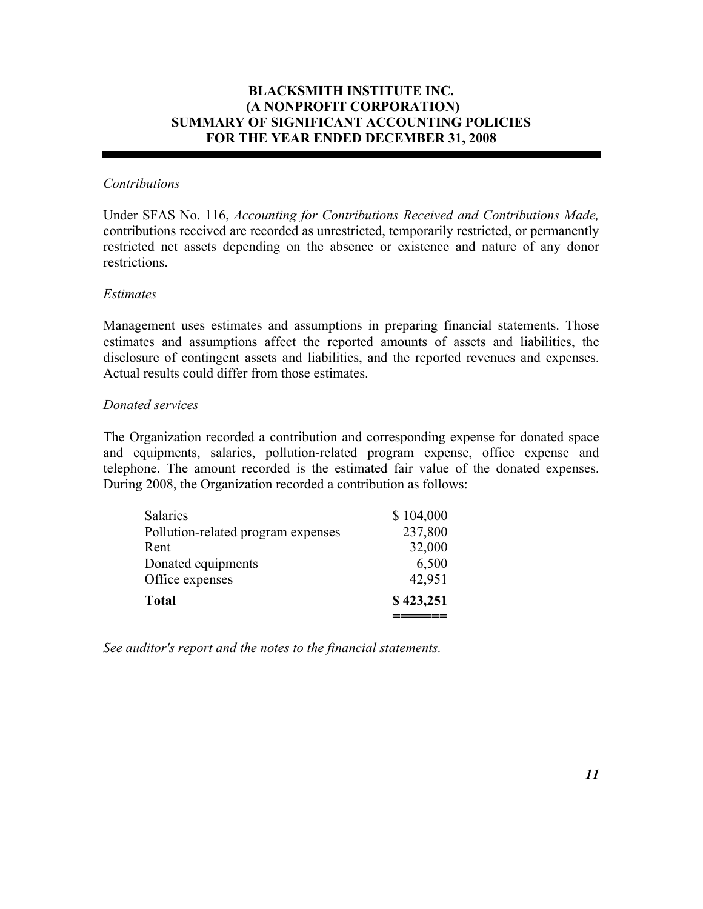### **BLACKSMITH INSTITUTE INC. (A NONPROFIT CORPORATION) SUMMARY OF SIGNIFICANT ACCOUNTING POLICIES FOR THE YEAR ENDED DECEMBER 31, 2008**

#### *Contributions*

Under SFAS No. 116, *Accounting for Contributions Received and Contributions Made,* contributions received are recorded as unrestricted, temporarily restricted, or permanently restricted net assets depending on the absence or existence and nature of any donor restrictions.

#### *Estimates*

Management uses estimates and assumptions in preparing financial statements. Those estimates and assumptions affect the reported amounts of assets and liabilities, the disclosure of contingent assets and liabilities, and the reported revenues and expenses. Actual results could differ from those estimates.

#### *Donated services*

The Organization recorded a contribution and corresponding expense for donated space and equipments, salaries, pollution-related program expense, office expense and telephone. The amount recorded is the estimated fair value of the donated expenses. During 2008, the Organization recorded a contribution as follows:

| <b>Salaries</b>                    | \$104,000 |
|------------------------------------|-----------|
| Pollution-related program expenses | 237,800   |
| Rent                               | 32,000    |
| Donated equipments                 | 6,500     |
| Office expenses                    | 42,951    |
| <b>Total</b>                       | \$423,251 |
|                                    |           |

*See auditor's report and the notes to the financial statements.*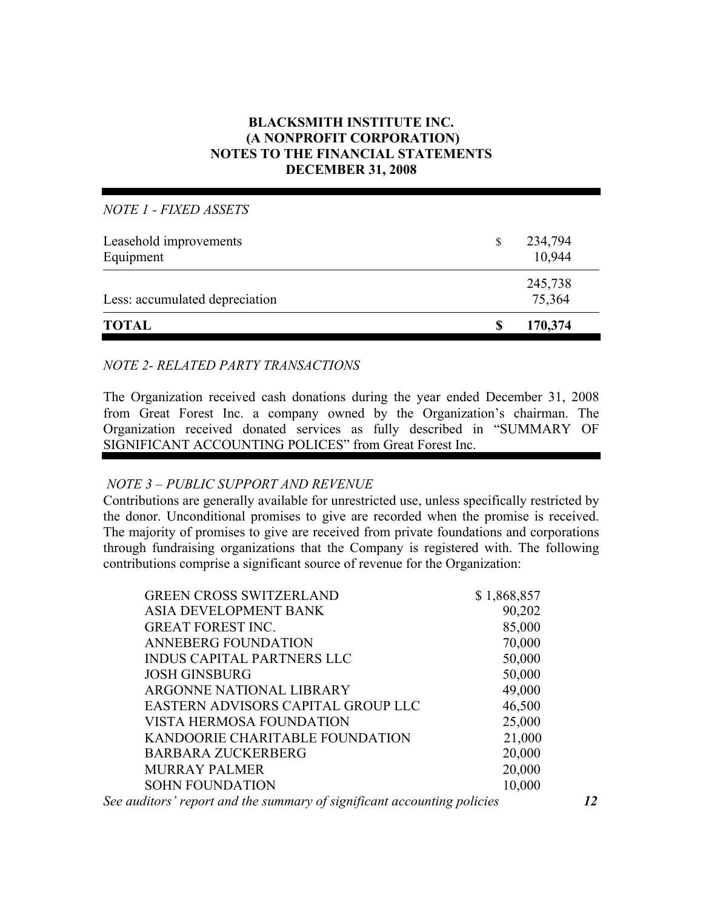### **BLACKSMITH INSTITUTE INC. (A NONPROFIT CORPORATION) NOTES TO THE FINANCIAL STATEMENTS DECEMBER 31, 2008**

*NOTE 1 - FIXED ASSETS*

| <b>TOTAL</b>                        | S             | 170,374           |  |
|-------------------------------------|---------------|-------------------|--|
| Less: accumulated depreciation      |               | 245,738<br>75,364 |  |
| Leasehold improvements<br>Equipment | <sup>\$</sup> | 234,794<br>10,944 |  |

### *NOTE 2- RELATED PARTY TRANSACTIONS*

The Organization received cash donations during the year ended December 31, 2008 from Great Forest Inc. a company owned by the Organization's chairman. The Organization received donated services as fully described in "SUMMARY OF SIGNIFICANT ACCOUNTING POLICES" from Great Forest Inc.

#### *NOTE 3 – PUBLIC SUPPORT AND REVENUE*

Contributions are generally available for unrestricted use, unless specifically restricted by the donor. Unconditional promises to give are recorded when the promise is received. The majority of promises to give are received from private foundations and corporations through fundraising organizations that the Company is registered with. The following contributions comprise a significant source of revenue for the Organization:

| <b>GREEN CROSS SWITZERLAND</b>     | \$1,868,857 |
|------------------------------------|-------------|
| ASIA DEVELOPMENT BANK              | 90,202      |
| <b>GREAT FOREST INC.</b>           | 85,000      |
| <b>ANNEBERG FOUNDATION</b>         | 70,000      |
| <b>INDUS CAPITAL PARTNERS LLC</b>  | 50,000      |
| <b>JOSH GINSBURG</b>               | 50,000      |
| ARGONNE NATIONAL LIBRARY           | 49,000      |
| EASTERN ADVISORS CAPITAL GROUP LLC | 46,500      |
| VISTA HERMOSA FOUNDATION           | 25,000      |
| KANDOORIE CHARITABLE FOUNDATION    | 21,000      |
| <b>BARBARA ZUCKERBERG</b>          | 20,000      |
| <b>MURRAY PALMER</b>               | 20,000      |
| <b>SOHN FOUNDATION</b>             | 10,000      |
|                                    |             |

*See auditors' report and the summary of significant accounting policies 12*